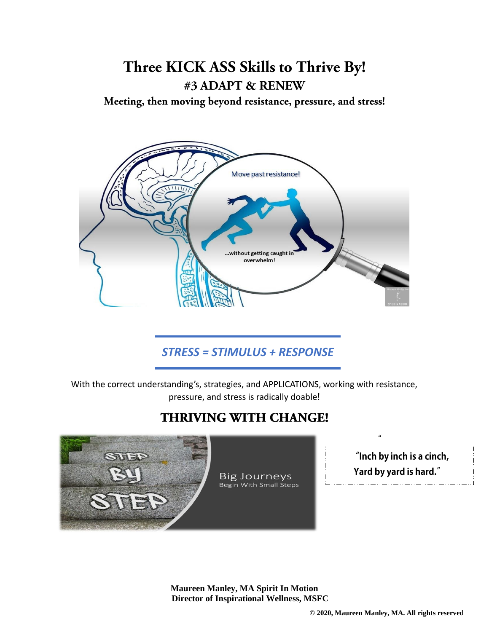# Three KICK ASS Skills to Thrive By! #3 ADAPT & RENEW

Meeting, then moving beyond resistance, pressure, and stress!



### *STRESS = STIMULUS + RESPONSE*

With the correct understanding's, strategies, and APPLICATIONS, working with resistance, pressure, and stress is radically doable!

### **THRIVING WITH CHANGE!**



**Maureen Manley, MA Spirit In Motion Director of Inspirational Wellness, MSFC**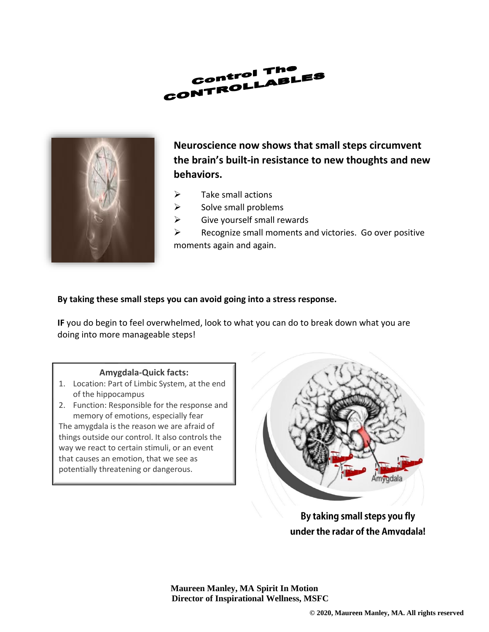



**Neuroscience now shows that small steps circumvent the brain's built-in resistance to new thoughts and new behaviors.**

- $\triangleright$  Take small actions
- $\triangleright$  Solve small problems
- $\triangleright$  Give yourself small rewards

 $\triangleright$  Recognize small moments and victories. Go over positive moments again and again.

### **By taking these small steps you can avoid going into a stress response.**

**IF** you do begin to feel overwhelmed, look to what you can do to break down what you are doing into more manageable steps!

#### **Amygdala-Quick facts:**

- 1. Location: Part of Limbic System, at the end of the hippocampus
- 2. Function: Responsible for the response and memory of emotions, especially fear

The amygdala is the reason we are afraid of things outside our control. It also controls the way we react to certain stimuli, or an event that causes an emotion, that we see as potentially threatening or dangerous.



By taking small steps you fly under the radar of the Amvadala!